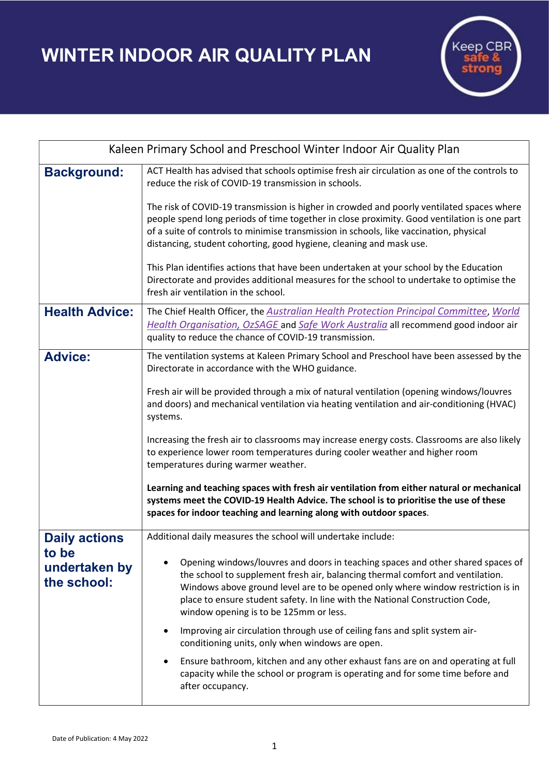WINTER INDOOR AIR QUALITY PLAN



| Kaleen Primary School and Preschool Winter Indoor Air Quality Plan |                                                                                                                                                                                                                                                                                                                                                                                                                                                   |
|--------------------------------------------------------------------|---------------------------------------------------------------------------------------------------------------------------------------------------------------------------------------------------------------------------------------------------------------------------------------------------------------------------------------------------------------------------------------------------------------------------------------------------|
| <b>Background:</b>                                                 | ACT Health has advised that schools optimise fresh air circulation as one of the controls to<br>reduce the risk of COVID-19 transmission in schools.                                                                                                                                                                                                                                                                                              |
|                                                                    | The risk of COVID-19 transmission is higher in crowded and poorly ventilated spaces where<br>people spend long periods of time together in close proximity. Good ventilation is one part<br>of a suite of controls to minimise transmission in schools, like vaccination, physical<br>distancing, student cohorting, good hygiene, cleaning and mask use.                                                                                         |
|                                                                    | This Plan identifies actions that have been undertaken at your school by the Education<br>Directorate and provides additional measures for the school to undertake to optimise the<br>fresh air ventilation in the school.                                                                                                                                                                                                                        |
| <b>Health Advice:</b>                                              | The Chief Health Officer, the Australian Health Protection Principal Committee, World<br>Health Organisation, OzSAGE and Safe Work Australia all recommend good indoor air<br>quality to reduce the chance of COVID-19 transmission.                                                                                                                                                                                                              |
| <b>Advice:</b>                                                     | The ventilation systems at Kaleen Primary School and Preschool have been assessed by the<br>Directorate in accordance with the WHO guidance.<br>Fresh air will be provided through a mix of natural ventilation (opening windows/louvres<br>and doors) and mechanical ventilation via heating ventilation and air-conditioning (HVAC)<br>systems.<br>Increasing the fresh air to classrooms may increase energy costs. Classrooms are also likely |
|                                                                    | to experience lower room temperatures during cooler weather and higher room<br>temperatures during warmer weather.<br>Learning and teaching spaces with fresh air ventilation from either natural or mechanical                                                                                                                                                                                                                                   |
|                                                                    | systems meet the COVID-19 Health Advice. The school is to prioritise the use of these<br>spaces for indoor teaching and learning along with outdoor spaces.                                                                                                                                                                                                                                                                                       |
| <b>Daily actions</b><br>to be<br>undertaken by<br>the school:      | Additional daily measures the school will undertake include:                                                                                                                                                                                                                                                                                                                                                                                      |
|                                                                    | Opening windows/louvres and doors in teaching spaces and other shared spaces of<br>the school to supplement fresh air, balancing thermal comfort and ventilation.<br>Windows above ground level are to be opened only where window restriction is in<br>place to ensure student safety. In line with the National Construction Code,<br>window opening is to be 125mm or less.                                                                    |
|                                                                    | Improving air circulation through use of ceiling fans and split system air-<br>conditioning units, only when windows are open.                                                                                                                                                                                                                                                                                                                    |
|                                                                    | Ensure bathroom, kitchen and any other exhaust fans are on and operating at full<br>capacity while the school or program is operating and for some time before and<br>after occupancy.                                                                                                                                                                                                                                                            |